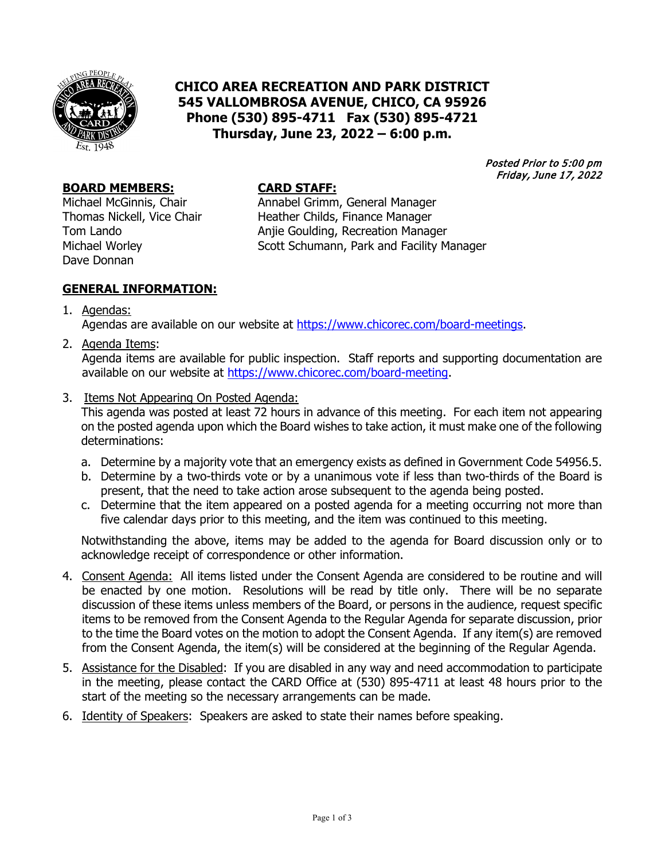

# **CHICO AREA RECREATION AND PARK DISTRICT 545 VALLOMBROSA AVENUE, CHICO, CA 95926 Phone (530) 895-4711 Fax (530) 895-4721 Thursday, June 23, 2022 – 6:00 p.m.**

Posted Prior to 5:00 pm Friday, June 17, 2022

#### **BOARD MEMBERS: CARD STAFF:**

Dave Donnan

Michael McGinnis, Chair **Annabel Grimm, General Manager**<br>Thomas Nickell, Vice Chair **Annat Heather Childs, Finance Manager** Heather Childs, Finance Manager Tom Lando **Anjie Goulding, Recreation Manager**<br>Michael Worley **Anjie Goulding, Park and Facility M** Scott Schumann, Park and Facility Manager

#### **GENERAL INFORMATION:**

1. Agendas:

Agendas are available on our website at [https://www.chicorec.com/board-meetings.](https://www.chicorec.com/board-meetings)

2. Agenda Items:

Agenda items are available for public inspection. Staff reports and supporting documentation are available on our website at [https://www.chicorec.com/board-meeting.](https://www.chicorec.com/board-meeting)

3. Items Not Appearing On Posted Agenda:

This agenda was posted at least 72 hours in advance of this meeting. For each item not appearing on the posted agenda upon which the Board wishes to take action, it must make one of the following determinations:

- a. Determine by a majority vote that an emergency exists as defined in Government Code 54956.5.
- b. Determine by a two-thirds vote or by a unanimous vote if less than two-thirds of the Board is present, that the need to take action arose subsequent to the agenda being posted.
- c. Determine that the item appeared on a posted agenda for a meeting occurring not more than five calendar days prior to this meeting, and the item was continued to this meeting.

Notwithstanding the above, items may be added to the agenda for Board discussion only or to acknowledge receipt of correspondence or other information.

- 4. Consent Agenda: All items listed under the Consent Agenda are considered to be routine and will be enacted by one motion. Resolutions will be read by title only. There will be no separate discussion of these items unless members of the Board, or persons in the audience, request specific items to be removed from the Consent Agenda to the Regular Agenda for separate discussion, prior to the time the Board votes on the motion to adopt the Consent Agenda. If any item(s) are removed from the Consent Agenda, the item(s) will be considered at the beginning of the Regular Agenda.
- 5. Assistance for the Disabled: If you are disabled in any way and need accommodation to participate in the meeting, please contact the CARD Office at (530) 895-4711 at least 48 hours prior to the start of the meeting so the necessary arrangements can be made.
- 6. Identity of Speakers: Speakers are asked to state their names before speaking.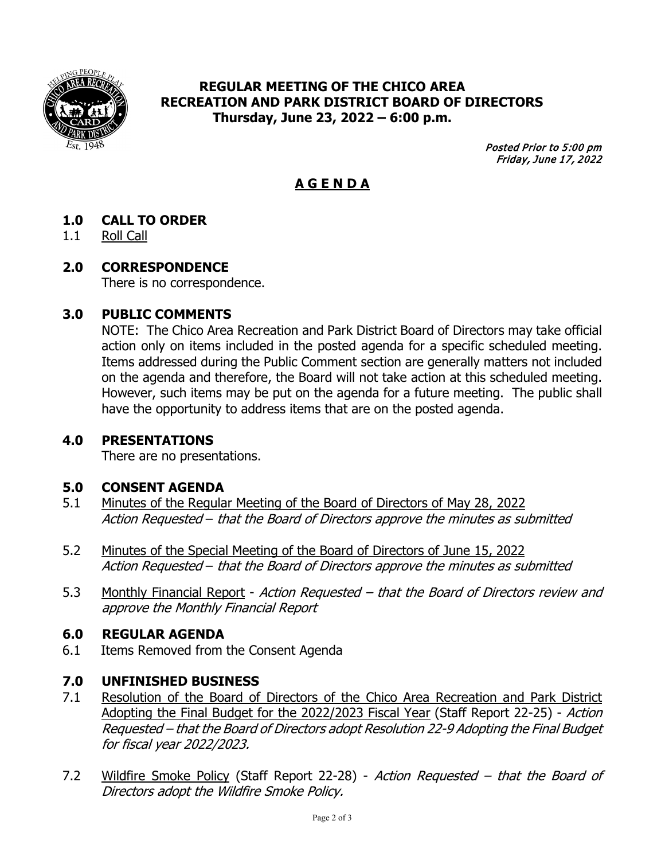

# **REGULAR MEETING OF THE CHICO AREA RECREATION AND PARK DISTRICT BOARD OF DIRECTORS Thursday, June 23, 2022 – 6:00 p.m.**

Posted Prior to 5:00 pm Friday, June 17, 2022

# **A G E N D A**

# **1.0 CALL TO ORDER**

1.1 Roll Call

### **2.0 CORRESPONDENCE**

There is no correspondence.

### **3.0 PUBLIC COMMENTS**

NOTE: The Chico Area Recreation and Park District Board of Directors may take official action only on items included in the posted agenda for a specific scheduled meeting. Items addressed during the Public Comment section are generally matters not included on the agenda and therefore, the Board will not take action at this scheduled meeting. However, such items may be put on the agenda for a future meeting. The public shall have the opportunity to address items that are on the posted agenda.

#### **4.0 PRESENTATIONS**

There are no presentations.

#### **5.0 CONSENT AGENDA**

- 5.1 Minutes of the Regular Meeting of the Board of Directors of May 28, 2022 Action Requested – that the Board of Directors approve the minutes as submitted
- 5.2 Minutes of the Special Meeting of the Board of Directors of June 15, 2022 Action Requested – that the Board of Directors approve the minutes as submitted
- 5.3 Monthly Financial Report Action Requested that the Board of Directors review and approve the Monthly Financial Report

#### **6.0 REGULAR AGENDA**

6.1 Items Removed from the Consent Agenda

#### **7.0 UNFINISHED BUSINESS**

- 7.1 Resolution of the Board of Directors of the Chico Area Recreation and Park District Adopting the Final Budget for the 2022/2023 Fiscal Year (Staff Report 22-25) - Action Requested – that the Board of Directors adopt Resolution 22-9 Adopting the Final Budget for fiscal year 2022/2023.
- 7.2 Wildfire Smoke Policy (Staff Report 22-28) Action Requested that the Board of Directors adopt the Wildfire Smoke Policy.